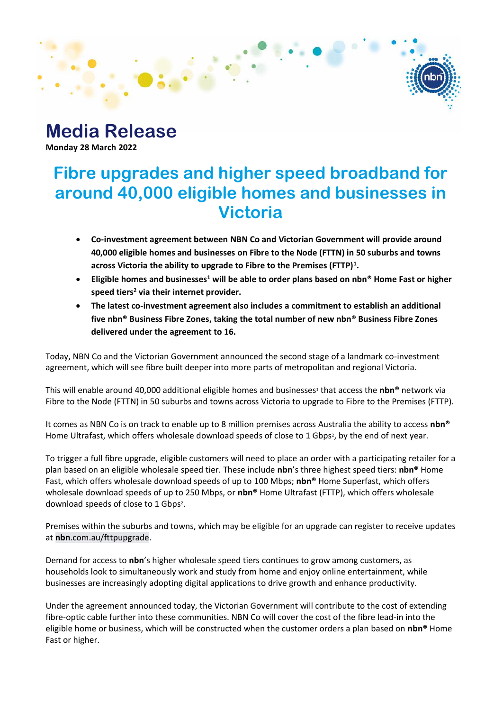### **Media Release Monday 28 March 2022**

# **Fibre upgrades and higher speed broadband for around 40,000 eligible homes and businesses in Victoria**

- **Co-investment agreement between NBN Co and Victorian Government will provide around 40,000 eligible homes and businesses on Fibre to the Node (FTTN) in 50 suburbs and towns across Victoria the ability to upgrade to Fibre to the Premises (FTTP)<sup>1</sup> .**
- **Eligible homes and businesses<sup>1</sup> will be able to order plans based on nbn® Home Fast or higher speed tiers <sup>2</sup> via their internet provider.**
- **The latest co-investment agreement also includes a commitment to establish an additional five nbn® Business Fibre Zones, taking the total number of new nbn® Business Fibre Zones delivered under the agreement to 16.**

Today, NBN Co and the Victorian Government announced the second stage of a landmark co-investment agreement, which will see fibre built deeper into more parts of metropolitan and regional Victoria.

This will enable around 40,000 additional eligible homes and businesses<sup>1</sup> that access the **nbn®** network via Fibre to the Node (FTTN) in 50 suburbs and towns across Victoria to upgrade to Fibre to the Premises (FTTP).

It comes as NBN Co is on track to enable up to 8 million premises across Australia the ability to access **nbn®** Home Ultrafast, which offers wholesale download speeds of close to 1 Gbps<sup>2</sup>, by the end of next year.

To trigger a full fibre upgrade, eligible customers will need to place an order with a participating retailer for a plan based on an eligible wholesale speed tier. These include **nbn**'s three highest speed tiers: **nbn®** Home Fast, which offers wholesale download speeds of up to 100 Mbps; **nbn®** Home Superfast, which offers wholesale download speeds of up to 250 Mbps, or **nbn®** Home Ultrafast (FTTP), which offers wholesale download speeds of close to 1 Gbps<sup>2</sup>.

Premises within the suburbs and towns, which may be eligible for an upgrade can register to receive updates at **nbn**[.com.au/fttpupgrade.](file:///C:/Users/mattjohnston/AppData/Local/Microsoft/Windows/INetCache/Content.Outlook/RECSV9YA/nbn.com.au/fttpupgrade)

Demand for access to **nbn**'s higher wholesale speed tiers continues to grow among customers, as households look to simultaneously work and study from home and enjoy online entertainment, while businesses are increasingly adopting digital applications to drive growth and enhance productivity.

Under the agreement announced today, the Victorian Government will contribute to the cost of extending fibre-optic cable further into these communities. NBN Co will cover the cost of the fibre lead-in into the eligible home or business, which will be constructed when the customer orders a plan based on **nbn®** Home Fast or higher.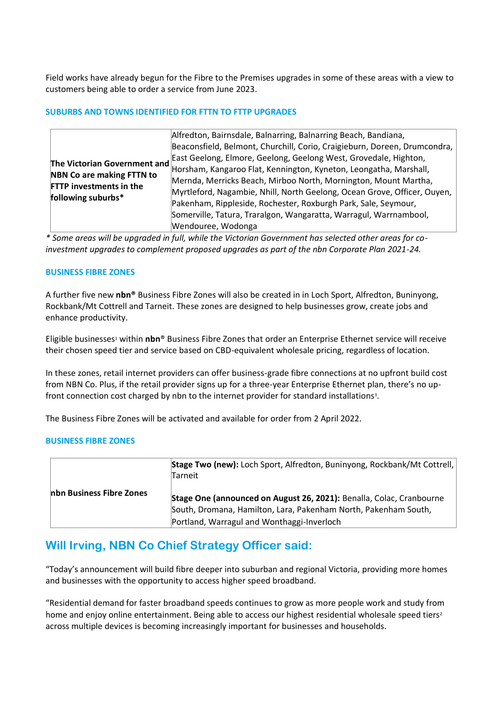Field works have already begun for the Fibre to the Premises upgrades in some of these areas with a view to customers being able to order a service from June 2023.

#### **SUBURBS AND TOWNS IDENTIFIED FOR FTTN TO FTTP UPGRADES**

| The Victorian Government and<br><b>NBN Co are making FTTN to</b><br><b>FTTP investments in the</b><br>following suburbs* | Alfredton, Bairnsdale, Balnarring, Balnarring Beach, Bandiana,<br>Beaconsfield, Belmont, Churchill, Corio, Craigieburn, Doreen, Drumcondra,<br>East Geelong, Elmore, Geelong, Geelong West, Grovedale, Highton,<br>Horsham, Kangaroo Flat, Kennington, Kyneton, Leongatha, Marshall,<br>Mernda, Merricks Beach, Mirboo North, Mornington, Mount Martha,<br>Myrtleford, Nagambie, Nhill, North Geelong, Ocean Grove, Officer, Ouyen,<br>Pakenham, Rippleside, Rochester, Roxburgh Park, Sale, Seymour,<br>Somerville, Tatura, Traralgon, Wangaratta, Warragul, Warrnambool,<br>Wendouree, Wodonga |
|--------------------------------------------------------------------------------------------------------------------------|--------------------------------------------------------------------------------------------------------------------------------------------------------------------------------------------------------------------------------------------------------------------------------------------------------------------------------------------------------------------------------------------------------------------------------------------------------------------------------------------------------------------------------------------------------------------------------------------------|
|--------------------------------------------------------------------------------------------------------------------------|--------------------------------------------------------------------------------------------------------------------------------------------------------------------------------------------------------------------------------------------------------------------------------------------------------------------------------------------------------------------------------------------------------------------------------------------------------------------------------------------------------------------------------------------------------------------------------------------------|

*\* Some areas will be upgraded in full, while the Victorian Government has selected other areas for coinvestment upgrades to complement proposed upgrades as part of the nbn Corporate Plan 2021-24.*

#### **BUSINESS FIBRE ZONES**

A further five new **nbn®** Business Fibre Zones will also be created in in Loch Sport, Alfredton, Buninyong, Rockbank/Mt Cottrell and Tarneit. These zones are designed to help businesses grow, create jobs and enhance productivity.

Eligible businesses<sup>1</sup> within **nbn**® Business Fibre Zones that order an Enterprise Ethernet service will receive their chosen speed tier and service based on CBD-equivalent wholesale pricing, regardless of location.

In these zones, retail internet providers can offer business-grade fibre connections at no upfront build cost from NBN Co. Plus, if the retail provider signs up for a three-year Enterprise Ethernet plan, there's no upfront connection cost charged by nbn to the internet provider for standard installations<sup>3</sup>.

The Business Fibre Zones will be activated and available for order from 2 April 2022.

#### **BUSINESS FIBRE ZONES**

| nbn Business Fibre Zones | Stage Two (new): Loch Sport, Alfredton, Buninyong, Rockbank/Mt Cottrell,<br>Tarneit                                                                                                   |
|--------------------------|---------------------------------------------------------------------------------------------------------------------------------------------------------------------------------------|
|                          | Stage One (announced on August 26, 2021): Benalla, Colac, Cranbourne<br>South, Dromana, Hamilton, Lara, Pakenham North, Pakenham South,<br>Portland, Warragul and Wonthaggi-Inverloch |

### **Will Irving, NBN Co Chief Strategy Officer said:**

"Today's announcement will build fibre deeper into suburban and regional Victoria, providing more homes and businesses with the opportunity to access higher speed broadband.

"Residential demand for faster broadband speeds continues to grow as more people work and study from home and enjoy online entertainment. Being able to access our highest residential wholesale speed tiers<sup>2</sup> across multiple devices is becoming increasingly important for businesses and households.